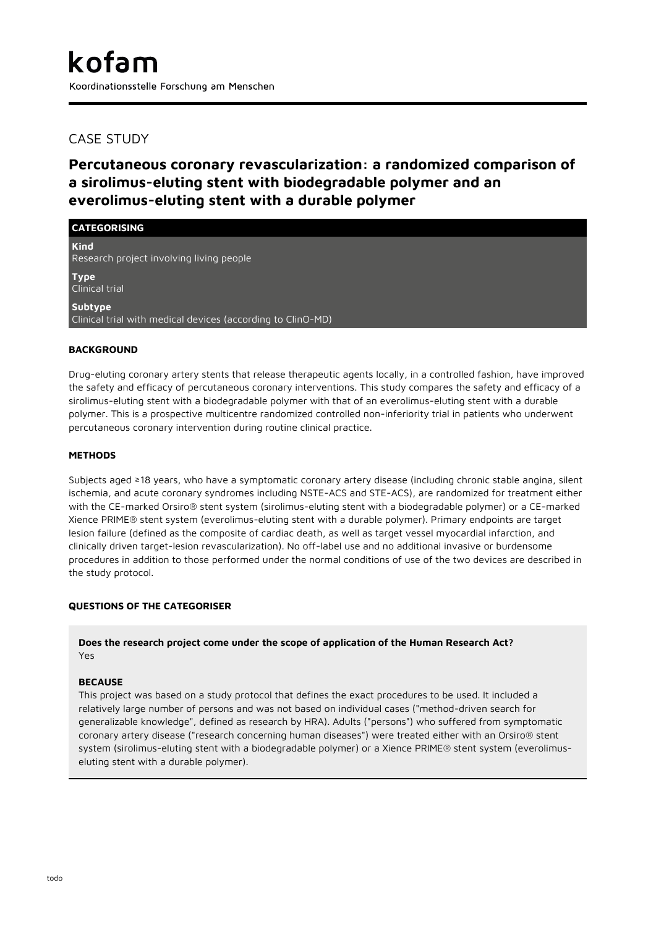## CASE STUDY

# **Percutaneous coronary revascularization: a randomized comparison of a sirolimus-eluting stent with biodegradable polymer and an everolimus-eluting stent with a durable polymer**

| <b>CATEGORISING</b>                                                    |
|------------------------------------------------------------------------|
| <b>Kind</b><br>Research project involving living people                |
| <b>Type</b><br><b>Clinical trial</b>                                   |
| Subtype<br>Clinical trial with medical devices (according to ClinO-MD) |

## **BACKGROUND**

Drug-eluting coronary artery stents that release therapeutic agents locally, in a controlled fashion, have improved the safety and efficacy of percutaneous coronary interventions. This study compares the safety and efficacy of a sirolimus-eluting stent with a biodegradable polymer with that of an everolimus-eluting stent with a durable polymer. This is a prospective multicentre randomized controlled non-inferiority trial in patients who underwent percutaneous coronary intervention during routine clinical practice.

## **METHODS**

Subjects aged ≥18 years, who have a symptomatic coronary artery disease (including chronic stable angina, silent ischemia, and acute coronary syndromes including NSTE-ACS and STE-ACS), are randomized for treatment either with the CE-marked Orsiro® stent system (sirolimus-eluting stent with a biodegradable polymer) or a CE-marked Xience PRIME® stent system (everolimus-eluting stent with a durable polymer). Primary endpoints are target lesion failure (defined as the composite of cardiac death, as well as target vessel myocardial infarction, and clinically driven target-lesion revascularization). No off-label use and no additional invasive or burdensome procedures in addition to those performed under the normal conditions of use of the two devices are described in the study protocol.

## **QUESTIONS OF THE CATEGORISER**

**Does the research project come under the scope of application of the Human Research Act?** Yes

## **BECAUSE**

This project was based on a study protocol that defines the exact procedures to be used. It included a relatively large number of persons and was not based on individual cases ("method-driven search for generalizable knowledge", defined as research by HRA). Adults ("persons") who suffered from symptomatic coronary artery disease ("research concerning human diseases") were treated either with an Orsiro® stent system (sirolimus-eluting stent with a biodegradable polymer) or a Xience PRIME® stent system (everolimuseluting stent with a durable polymer).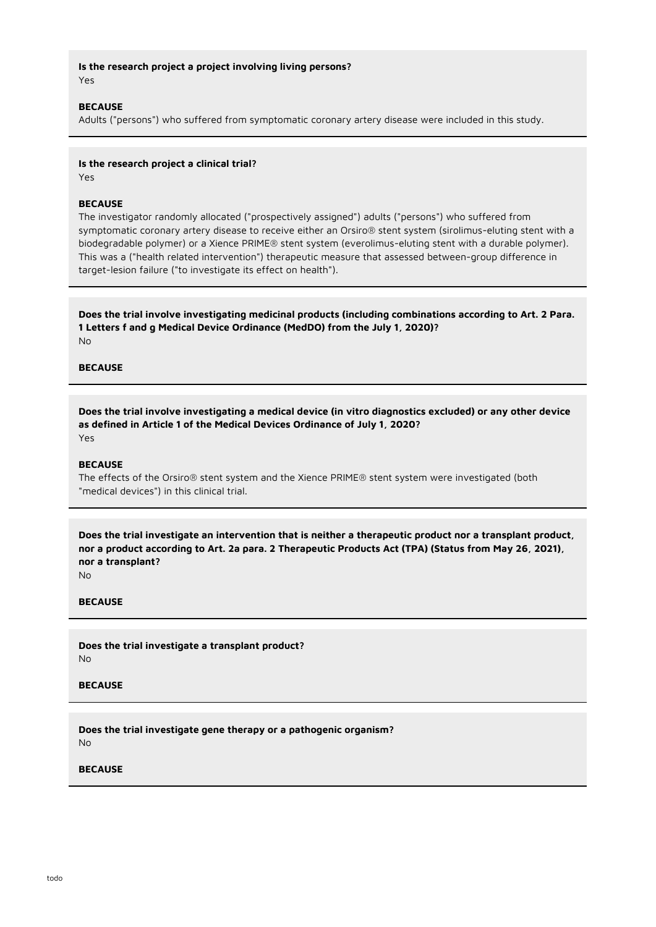**Is the research project a project involving living persons?** Yes

#### **BECAUSE**

Adults ("persons") who suffered from symptomatic coronary artery disease were included in this study.

#### **Is the research project a clinical trial?**

Yes

#### **BECAUSE**

The investigator randomly allocated ("prospectively assigned") adults ("persons") who suffered from symptomatic coronary artery disease to receive either an Orsiro® stent system (sirolimus-eluting stent with a biodegradable polymer) or a Xience PRIME® stent system (everolimus-eluting stent with a durable polymer). This was a ("health related intervention") therapeutic measure that assessed between-group difference in target-lesion failure ("to investigate its effect on health").

**Does the trial involve investigating medicinal products (including combinations according to Art. 2 Para. 1 Letters f and g Medical Device Ordinance (MedDO) from the July 1, 2020)?** No

## **BECAUSE**

**Does the trial involve investigating a medical device (in vitro diagnostics excluded) or any other device as defined in Article 1 of the Medical Devices Ordinance of July 1, 2020?** Yes

#### **BECAUSE**

The effects of the Orsiro® stent system and the Xience PRIME® stent system were investigated (both "medical devices") in this clinical trial.

**Does the trial investigate an intervention that is neither a therapeutic product nor a transplant product, nor a product according to Art. 2a para. 2 Therapeutic Products Act (TPA) (Status from May 26, 2021), nor a transplant?**

No

## **BECAUSE**

**Does the trial investigate a transplant product?** No

#### **BECAUSE**

**Does the trial investigate gene therapy or a pathogenic organism?** No

#### **BECAUSE**